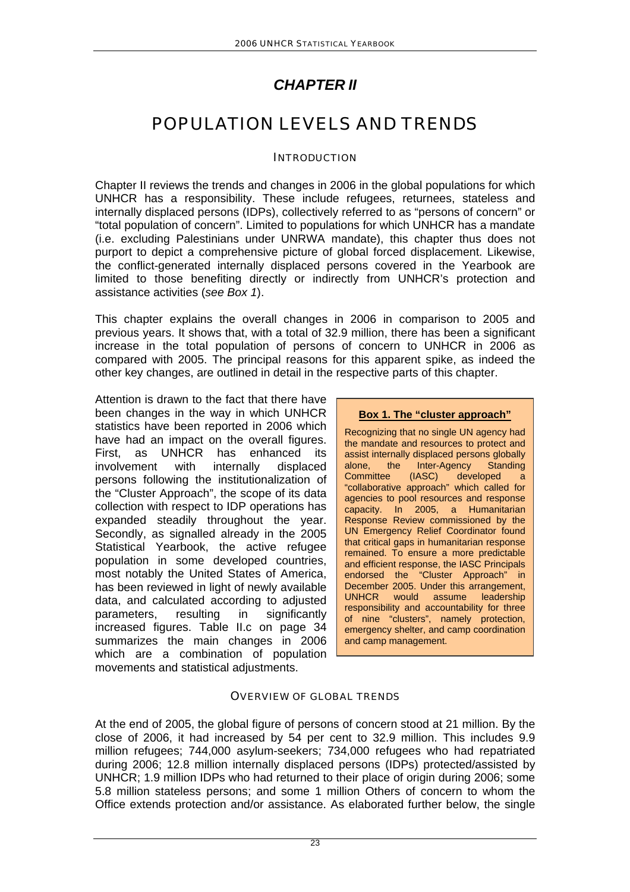## *CHAPTER II*

# POPULATION LEVELS AND TRENDS

## **INTRODUCTION**

Chapter II reviews the trends and changes in 2006 in the global populations for which UNHCR has a responsibility. These include refugees, returnees, stateless and internally displaced persons (IDPs), collectively referred to as "persons of concern" or "total population of concern". Limited to populations for which UNHCR has a mandate (i.e. excluding Palestinians under UNRWA mandate), this chapter thus does not purport to depict a comprehensive picture of global forced displacement. Likewise, the conflict-generated internally displaced persons covered in the Yearbook are limited to those benefiting directly or indirectly from UNHCR's protection and assistance activities (*see Box 1*).

This chapter explains the overall changes in 2006 in comparison to 2005 and previous years. It shows that, with a total of 32.9 million, there has been a significant increase in the total population of persons of concern to UNHCR in 2006 as compared with 2005. The principal reasons for this apparent spike, as indeed the other key changes, are outlined in detail in the respective parts of this chapter.

Attention is drawn to the fact that there have been changes in the way in which UNHCR statistics have been reported in 2006 which have had an impact on the overall figures. First, as UNHCR has enhanced its involvement with internally displaced persons following the institutionalization of the "Cluster Approach", the scope of its data collection with respect to IDP operations has expanded steadily throughout the year. Secondly, as signalled already in the 2005 Statistical Yearbook, the active refugee population in some developed countries, most notably the United States of America, has been reviewed in light of newly available data, and calculated according to adjusted parameters, resulting in significantly increased figures. Table II.c on page 34 summarizes the main changes in 2006 which are a combination of population movements and statistical adjustments.

**Box 1. The "cluster approach"**

Recognizing that no single UN agency had the mandate and resources to protect and assist internally displaced persons globally alone, the Inter-Agency Standing Committee (IASC) developed a "collaborative approach" which called for agencies to pool resources and response capacity. In 2005, a Humanitarian Response Review commissioned by the UN Emergency Relief Coordinator found that critical gaps in humanitarian response remained. To ensure a more predictable and efficient response, the IASC Principals endorsed the "Cluster Approach" in December 2005. Under this arrangement, UNHCR would assume leadership responsibility and accountability for three of nine "clusters", namely protection, emergency shelter, and camp coordination and camp management.

## OVERVIEW OF GLOBAL TRENDS

At the end of 2005, the global figure of persons of concern stood at 21 million. By the close of 2006, it had increased by 54 per cent to 32.9 million. This includes 9.9 million refugees; 744,000 asylum-seekers; 734,000 refugees who had repatriated during 2006; 12.8 million internally displaced persons (IDPs) protected/assisted by UNHCR; 1.9 million IDPs who had returned to their place of origin during 2006; some 5.8 million stateless persons; and some 1 million Others of concern to whom the Office extends protection and/or assistance. As elaborated further below, the single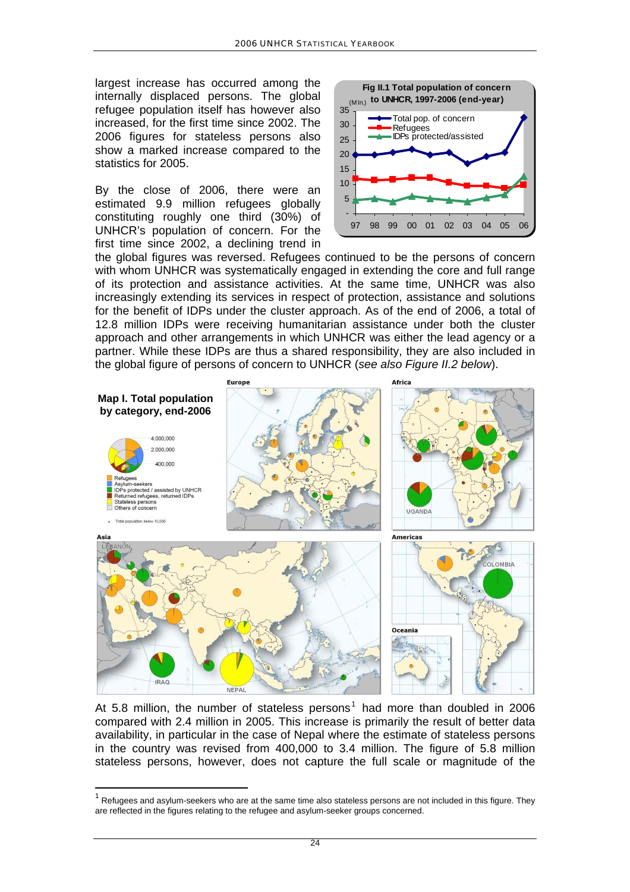largest increase has occurred among the internally displaced persons. The global refugee population itself has however also increased, for the first time since 2002. The 2006 figures for stateless persons also show a marked increase compared to the statistics for 2005.

By the close of 2006, there were an estimated 9.9 million refugees globally constituting roughly one third (30%) of UNHCR's population of concern. For the first time since 2002, a declining trend in



the global figures was reversed. Refugees continued to be the persons of concern with whom UNHCR was systematically engaged in extending the core and full range of its protection and assistance activities. At the same time, UNHCR was also increasingly extending its services in respect of protection, assistance and solutions for the benefit of IDPs under the cluster approach. As of the end of 2006, a total of 12.8 million IDPs were receiving humanitarian assistance under both the cluster approach and other arrangements in which UNHCR was either the lead agency or a partner. While these IDPs are thus a shared responsibility, they are also included in the global figure of persons of concern to UNHCR (*see also Figure II.2 below*).



At 5.8 million, the number of stateless persons<sup>[1](#page-1-0)</sup> had more than doubled in 2006 compared with 2.4 million in 2005. This increase is primarily the result of better data availability, in particular in the case of Nepal where the estimate of stateless persons in the country was revised from 400,000 to 3.4 million. The figure of 5.8 million stateless persons, however, does not capture the full scale or magnitude of the

<span id="page-1-0"></span><sup>1</sup> Refugees and asylum-seekers who are at the same time also stateless persons are not included in this figure. They are reflected in the figures relating to the refugee and asylum-seeker groups concerned.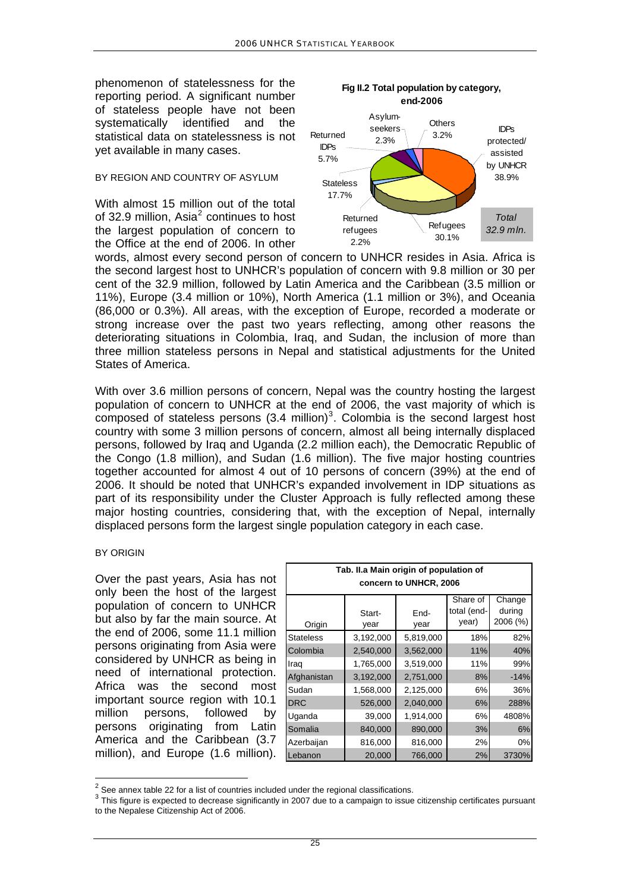phenomenon of statelessness for the reporting period. A significant number of stateless people have not been systematically identified and the statistical data on statelessness is not yet available in many cases.

#### BY REGION AND COUNTRY OF ASYLUM

With almost 15 million out of the total of 3[2](#page-2-0).9 million, Asia $^2$  continues to host the largest population of concern to the Office at the end of 2006. In other



**Fig II.2 Total population by category,** 

words, almost every second person of concern to UNHCR resides in Asia. Africa is the second largest host to UNHCR's population of concern with 9.8 million or 30 per cent of the 32.9 million, followed by Latin America and the Caribbean (3.5 million or 11%), Europe (3.4 million or 10%), North America (1.1 million or 3%), and Oceania (86,000 or 0.3%). All areas, with the exception of Europe, recorded a moderate or strong increase over the past two years reflecting, among other reasons the deteriorating situations in Colombia, Iraq, and Sudan, the inclusion of more than three million stateless persons in Nepal and statistical adjustments for the United States of America.

With over 3.6 million persons of concern, Nepal was the country hosting the largest population of concern to UNHCR at the end of 2006, the vast majority of which is composed of stateless persons  $(3.4 \text{ million})^3$  $(3.4 \text{ million})^3$  $(3.4 \text{ million})^3$ . Colombia is the second largest host country with some 3 million persons of concern, almost all being internally displaced persons, followed by Iraq and Uganda (2.2 million each), the Democratic Republic of the Congo (1.8 million), and Sudan (1.6 million). The five major hosting countries together accounted for almost 4 out of 10 persons of concern (39%) at the end of 2006. It should be noted that UNHCR's expanded involvement in IDP situations as part of its responsibility under the Cluster Approach is fully reflected among these major hosting countries, considering that, with the exception of Nepal, internally displaced persons form the largest single population category in each case.

#### BY ORIGIN

Over the past years, Asia has not only been the host of the largest population of concern to UNHCR but also by far the main source. At the end of 2006, some 11.1 million persons originating from Asia were considered by UNHCR as being in need of international protection. Africa was the second most important source region with 10.1 million persons, followed by persons originating from Latin America and the Caribbean (3.7 million), and Europe (1.6 million).

| Tab. II.a Main origin of population of<br>concern to UNHCR, 2006 |                |              |                                  |                              |  |  |  |
|------------------------------------------------------------------|----------------|--------------|----------------------------------|------------------------------|--|--|--|
| Origin                                                           | Start-<br>year | End-<br>year | Share of<br>total (end-<br>year) | Change<br>during<br>2006 (%) |  |  |  |
| <b>Stateless</b>                                                 | 3,192,000      | 5,819,000    | 18%                              | 82%                          |  |  |  |
| Colombia                                                         | 2,540,000      | 3,562,000    | 11%                              | 40%                          |  |  |  |
| Iraq                                                             | 1,765,000      | 3,519,000    | 11%                              | 99%                          |  |  |  |
| Afghanistan                                                      | 3,192,000      | 2,751,000    | 8%                               | $-14%$                       |  |  |  |
| Sudan                                                            | 1,568,000      | 2,125,000    | 6%                               | 36%                          |  |  |  |
| DRC                                                              | 526,000        | 2,040,000    | 6%                               | 288%                         |  |  |  |
| Uganda                                                           | 39,000         | 1,914,000    | 6%                               | 4808%                        |  |  |  |
| Somalia                                                          | 840,000        | 890,000      | 3%                               | 6%                           |  |  |  |
| Azerbaijan                                                       | 816,000        | 816,000      | 2%                               | 0%                           |  |  |  |
| Lebanon                                                          | 20,000         | 766,000      | 2%                               | 3730%                        |  |  |  |

 $\frac{2}{3}$  See annex table 22 for a list of countries included under the regional classifications.

<span id="page-2-1"></span><span id="page-2-0"></span><sup>&</sup>lt;sup>3</sup> This figure is expected to decrease significantly in 2007 due to a campaign to issue citizenship certificates pursuant to the Nepalese Citizenship Act of 2006.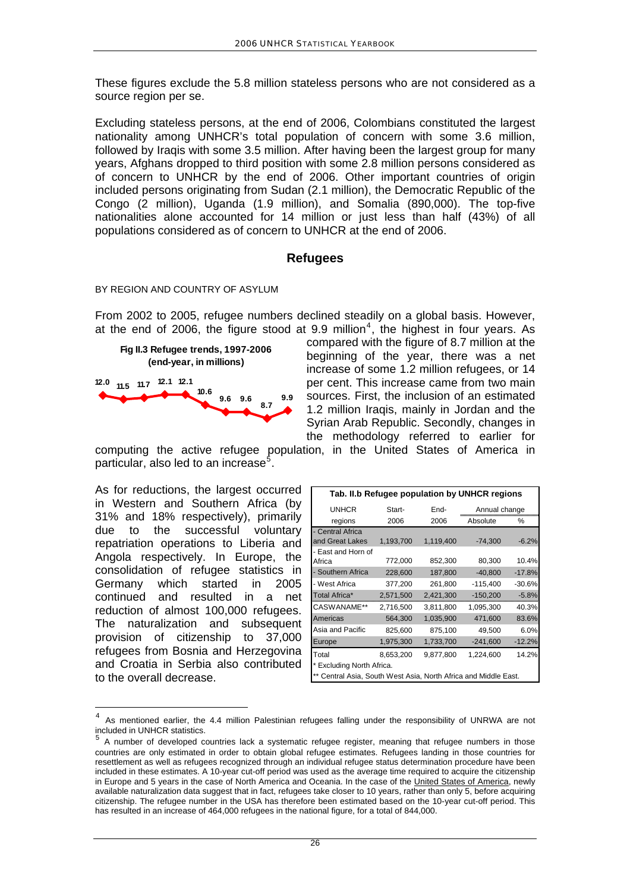These figures exclude the 5.8 million stateless persons who are not considered as a source region per se.

Excluding stateless persons, at the end of 2006, Colombians constituted the largest nationality among UNHCR's total population of concern with some 3.6 million, followed by Iraqis with some 3.5 million. After having been the largest group for many years, Afghans dropped to third position with some 2.8 million persons considered as of concern to UNHCR by the end of 2006. Other important countries of origin included persons originating from Sudan (2.1 million), the Democratic Republic of the Congo (2 million), Uganda (1.9 million), and Somalia (890,000). The top-five nationalities alone accounted for 14 million or just less than half (43%) of all populations considered as of concern to UNHCR at the end of 2006.

## **Refugees**

#### BY REGION AND COUNTRY OF ASYLUM

From 2002 to 2005, refugee numbers declined steadily on a global basis. However, at the end of 2006, the figure stood at 9.9 million<sup>[4](#page-3-0)</sup>, the highest in four years. As



compared with the figure of 8.7 million at the beginning of the year, there was a net increase of some 1.2 million refugees, or 14 per cent. This increase came from two main sources. First, the inclusion of an estimated 1.2 million Iraqis, mainly in Jordan and the Syrian Arab Republic. Secondly, changes in the methodology referred to earlier for

computing the active refugee population, in the United States of America in particular, also led to an increase<sup>[5](#page-3-1)</sup>.

As for reductions, the largest occurred in Western and Southern Africa (by 31% and 18% respectively), primarily due to the successful voluntary repatriation operations to Liberia and Angola respectively. In Europe, the consolidation of refugee statistics in Germany which started in 2005 continued and resulted in a net reduction of almost 100,000 refugees. The naturalization and subsequent provision of citizenship to 37,000 refugees from Bosnia and Herzegovina and Croatia in Serbia also contributed to the overall decrease.

 $\overline{a}$ 

| Tab. II.b Refugee population by UNHCR regions                  |           |           |               |          |  |  |  |
|----------------------------------------------------------------|-----------|-----------|---------------|----------|--|--|--|
| <b>UNHCR</b>                                                   | Start-    | End-      | Annual change |          |  |  |  |
| regions                                                        | 2006      | 2006      | Absolute      | ℅        |  |  |  |
| - Central Africa                                               |           |           |               |          |  |  |  |
| and Great Lakes                                                | 1,193,700 | 1,119,400 | $-74,300$     | $-6.2%$  |  |  |  |
| - East and Horn of                                             |           |           |               |          |  |  |  |
| Africa                                                         | 772,000   | 852,300   | 80,300        | 10.4%    |  |  |  |
| - Southern Africa                                              | 228,600   | 187,800   | $-40,800$     | $-17.8%$ |  |  |  |
| - West Africa                                                  | 377,200   | 261,800   | $-115,400$    | $-30.6%$ |  |  |  |
| Total Africa*                                                  | 2,571,500 | 2,421,300 | $-150,200$    | $-5.8%$  |  |  |  |
| CASWANAME**                                                    | 2,716,500 | 3,811,800 | 1,095,300     | 40.3%    |  |  |  |
| Americas                                                       | 564,300   | 1,035,900 | 471,600       | 83.6%    |  |  |  |
| Asia and Pacific                                               | 825,600   | 875,100   | 49,500        | 6.0%     |  |  |  |
| Europe                                                         | 1,975,300 | 1,733,700 | $-241,600$    | $-12.2%$ |  |  |  |
| Total                                                          | 8,653,200 | 9,877,800 | 1,224,600     | 14.2%    |  |  |  |
| * Excluding North Africa.                                      |           |           |               |          |  |  |  |
| ** Control Agia, South West Agia, North Africa and Middle Foot |           |           |               |          |  |  |  |

\*\* Central Asia, South West Asia, North Africa and Middle East.

<span id="page-3-0"></span><sup>4</sup> As mentioned earlier, the 4.4 million Palestinian refugees falling under the responsibility of UNRWA are not included in UNHCR statistics.

<span id="page-3-1"></span><sup>5</sup> A number of developed countries lack a systematic refugee register, meaning that refugee numbers in those countries are only estimated in order to obtain global refugee estimates. Refugees landing in those countries for resettlement as well as refugees recognized through an individual refugee status determination procedure have been included in these estimates. A 10-year cut-off period was used as the average time required to acquire the citizenship in Europe and 5 years in the case of North America and Oceania. In the case of the United States of America, newly available naturalization data suggest that in fact, refugees take closer to 10 years, rather than only 5, before acquiring citizenship. The refugee number in the USA has therefore been estimated based on the 10-year cut-off period. This has resulted in an increase of 464,000 refugees in the national figure, for a total of 844,000.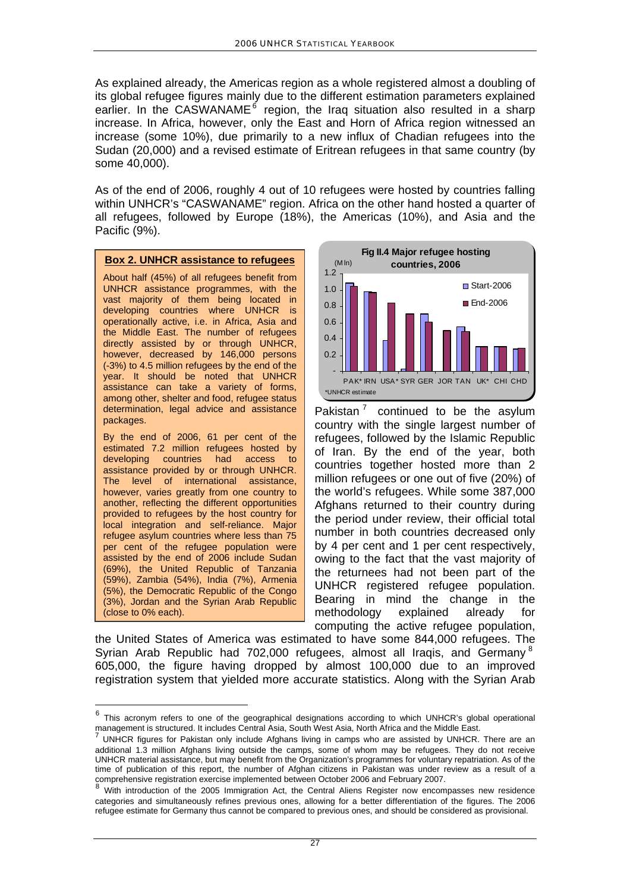As explained already, the Americas region as a whole registered almost a doubling of its global refugee figures mainly due to the different estimation parameters explained earlier. In the CASWANAME<sup>[6](#page-4-0)</sup> region, the Iraq situation also resulted in a sharp increase. In Africa, however, only the East and Horn of Africa region witnessed an increase (some 10%), due primarily to a new influx of Chadian refugees into the Sudan (20,000) and a revised estimate of Eritrean refugees in that same country (by some 40,000).

As of the end of 2006, roughly 4 out of 10 refugees were hosted by countries falling within UNHCR's "CASWANAME" region. Africa on the other hand hosted a quarter of all refugees, followed by Europe (18%), the Americas (10%), and Asia and the Pacific (9%).

#### **Box 2. UNHCR assistance to refugees**

About half (45%) of all refugees benefit from UNHCR assistance programmes, with the vast majority of them being located in developing countries where UNHCR is operationally active, i.e. in Africa, Asia and the Middle East. The number of refugees directly assisted by or through UNHCR, however, decreased by 146,000 persons (-3%) to 4.5 million refugees by the end of the year. It should be noted that UNHCR assistance can take a variety of forms, among other, shelter and food, refugee status determination, legal advice and assistance packages.

By the end of 2006, 61 per cent of the estimated 7.2 million refugees hosted by developing countries had access to assistance provided by or through UNHCR. The level of international assistance, however, varies greatly from one country to another, reflecting the different opportunities provided to refugees by the host country for local integration and self-reliance. Major refugee asylum countries where less than 75 per cent of the refugee population were assisted by the end of 2006 include Sudan (69%), the United Republic of Tanzania (59%), Zambia (54%), India (7%), Armenia (5%), the Democratic Republic of the Congo (3%), Jordan and the Syrian Arab Republic (close to 0% each).

l



Pakistan $<sup>7</sup>$  $<sup>7</sup>$  $<sup>7</sup>$  continued to be the asylum</sup> country with the single largest number of refugees, followed by the Islamic Republic of Iran. By the end of the year, both countries together hosted more than 2 million refugees or one out of five (20%) of the world's refugees. While some 387,000 Afghans returned to their country during the period under review, their official total number in both countries decreased only by 4 per cent and 1 per cent respectively, owing to the fact that the vast majority of the returnees had not been part of the UNHCR registered refugee population. Bearing in mind the change in the methodology explained already for computing the active refugee population,

the United States of America was estimated to have some 844,000 refugees. The Syrian Arab Republic had 702,000 refugees, almost all Iraqis, and Germany<sup>[8](#page-4-2)</sup> 605,000, the figure having dropped by almost 100,000 due to an improved registration system that yielded more accurate statistics. Along with the Syrian Arab

<span id="page-4-0"></span> $6$  This acronym refers to one of the geographical designations according to which UNHCR's global operational management is structured. It includes Central Asia, South West Asia, North Africa and the Middle East.

<span id="page-4-1"></span><sup>7</sup> UNHCR figures for Pakistan only include Afghans living in camps who are assisted by UNHCR. There are an additional 1.3 million Afghans living outside the camps, some of whom may be refugees. They do not receive UNHCR material assistance, but may benefit from the Organization's programmes for voluntary repatriation. As of the time of publication of this report, the number of Afghan citizens in Pakistan was under review as a result of a comprehensive registration exercise implemented between October 2006 and February 2007.

<span id="page-4-2"></span>With introduction of the 2005 Immigration Act, the Central Aliens Register now encompasses new residence categories and simultaneously refines previous ones, allowing for a better differentiation of the figures. The 2006 refugee estimate for Germany thus cannot be compared to previous ones, and should be considered as provisional.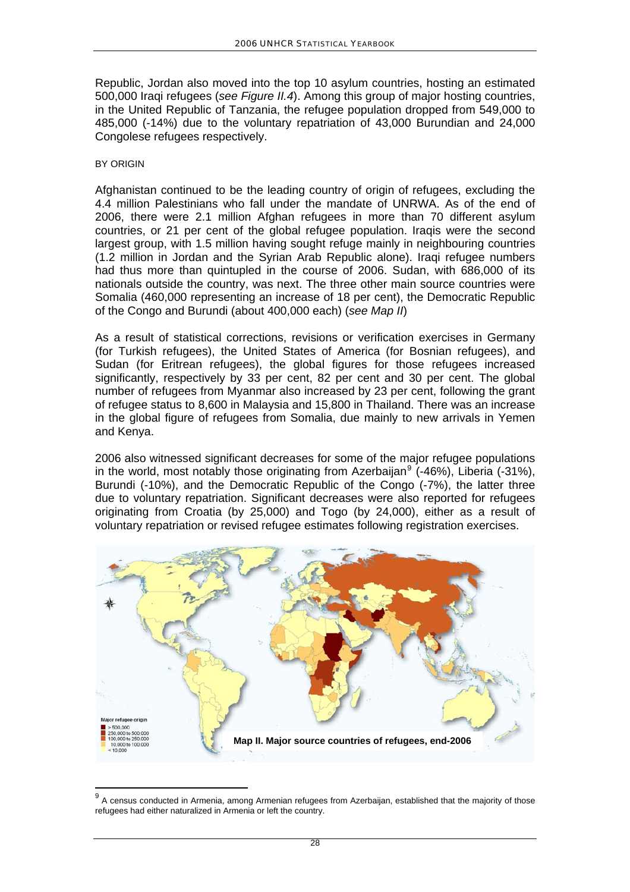Republic, Jordan also moved into the top 10 asylum countries, hosting an estimated 500,000 Iraqi refugees (*see Figure II.4*). Among this group of major hosting countries, in the United Republic of Tanzania, the refugee population dropped from 549,000 to 485,000 (-14%) due to the voluntary repatriation of 43,000 Burundian and 24,000 Congolese refugees respectively.

#### BY ORIGIN

l

Afghanistan continued to be the leading country of origin of refugees, excluding the 4.4 million Palestinians who fall under the mandate of UNRWA. As of the end of 2006, there were 2.1 million Afghan refugees in more than 70 different asylum countries, or 21 per cent of the global refugee population. Iraqis were the second largest group, with 1.5 million having sought refuge mainly in neighbouring countries (1.2 million in Jordan and the Syrian Arab Republic alone). Iraqi refugee numbers had thus more than quintupled in the course of 2006. Sudan, with 686,000 of its nationals outside the country, was next. The three other main source countries were Somalia (460,000 representing an increase of 18 per cent), the Democratic Republic of the Congo and Burundi (about 400,000 each) (*see Map II*)

As a result of statistical corrections, revisions or verification exercises in Germany (for Turkish refugees), the United States of America (for Bosnian refugees), and Sudan (for Eritrean refugees), the global figures for those refugees increased significantly, respectively by 33 per cent, 82 per cent and 30 per cent. The global number of refugees from Myanmar also increased by 23 per cent, following the grant of refugee status to 8,600 in Malaysia and 15,800 in Thailand. There was an increase in the global figure of refugees from Somalia, due mainly to new arrivals in Yemen and Kenya.

2006 also witnessed significant decreases for some of the major refugee populations in the world, most notably those originating from Azerbaijan<sup>[9](#page-5-0)</sup> (-46%), Liberia (-31%), Burundi (-10%), and the Democratic Republic of the Congo (-7%), the latter three due to voluntary repatriation. Significant decreases were also reported for refugees originating from Croatia (by 25,000) and Togo (by 24,000), either as a result of voluntary repatriation or revised refugee estimates following registration exercises.



<span id="page-5-0"></span><sup>&</sup>lt;sup>9</sup> A census conducted in Armenia, among Armenian refugees from Azerbaijan, established that the majority of those refugees had either naturalized in Armenia or left the country.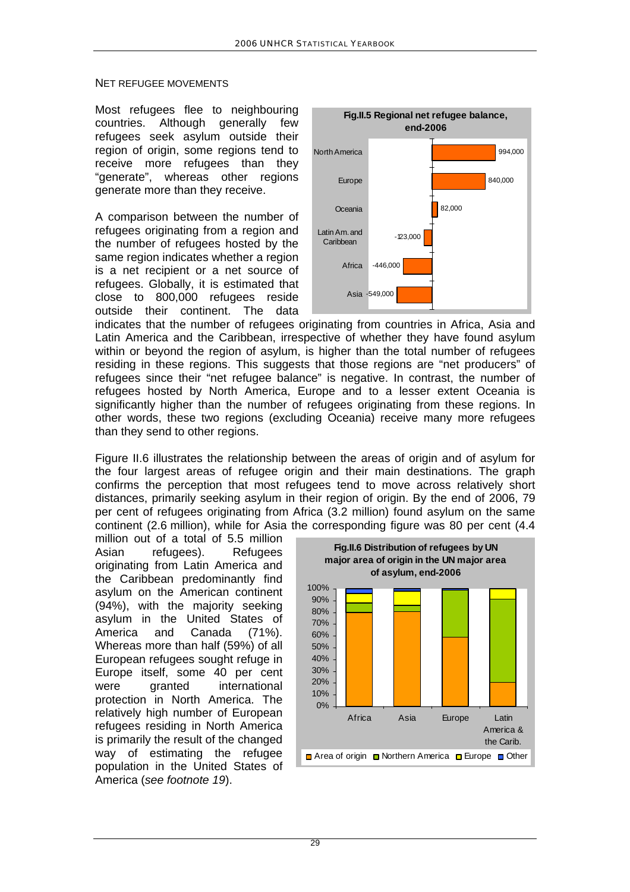#### NET REFUGEE MOVEMENTS

Most refugees flee to neighbouring countries. Although generally few refugees seek asylum outside their region of origin, some regions tend to receive more refugees than they "generate", whereas other regions generate more than they receive.

A comparison between the number of refugees originating from a region and the number of refugees hosted by the same region indicates whether a region is a net recipient or a net source of refugees. Globally, it is estimated that close to 800,000 refugees reside outside their continent. The data



indicates that the number of refugees o riginating from countries in Africa, Asia and Latin America and the Caribbean, irrespective of whether they have found asylum within or beyond the region of asylum, is higher than the total number of refugees residing in these regions. This suggests that those regions are "net producers" of refugees since their "net refugee balance" is negative. In contrast, the number of refugees hosted by North America, Europe and to a lesser extent Oceania is significantly higher than the number of refugees originating from these regions. In other words, these two regions (excluding Oceania) receive many more refugees than they send to other regions.

Figure II.6 illustrates the relationship between the areas of origin and of asylum for the four largest areas of refugee origin and their main destinations. The graph confirms the perception that most refugees tend to move across relatively short distances, primarily seeking asylum in their region of origin. By the end of 2006, 79 per cent of refugees originating from Africa (3.2 million) found asylum on the same continent (2.6 million), while for Asia the corresponding figure was 80 per cent (4.4

million out of a total of 5.5 million Asian refugees). Refugees originating from Latin America and the Caribbean predominantly find asylum on the American continent (94%), with the majority seeking asylum in the United States of America and Canada (71%). Whereas more than half (59%) of all European refugees sought refuge in Europe itself, some 40 per cent were granted international protection in North America. The relatively high number of European refugees residing in North America is primarily the result of the changed way of estimating the refugee population in the United States of America (*see footnote 19*).

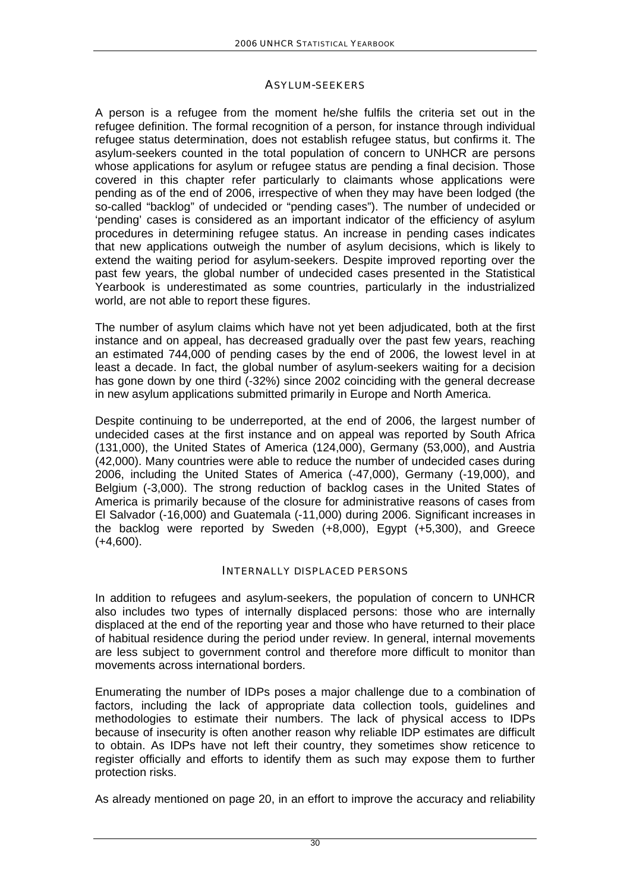## ASYLUM-SEEKERS

A person is a refugee from the moment he/she fulfils the criteria set out in the refugee definition. The formal recognition of a person, for instance through individual refugee status determination, does not establish refugee status, but confirms it. The asylum-seekers counted in the total population of concern to UNHCR are persons whose applications for asylum or refugee status are pending a final decision. Those covered in this chapter refer particularly to claimants whose applications were pending as of the end of 2006, irrespective of when they may have been lodged (the so-called "backlog" of undecided or "pending cases"). The number of undecided or 'pending' cases is considered as an important indicator of the efficiency of asylum procedures in determining refugee status. An increase in pending cases indicates that new applications outweigh the number of asylum decisions, which is likely to extend the waiting period for asylum-seekers. Despite improved reporting over the past few years, the global number of undecided cases presented in the Statistical Yearbook is underestimated as some countries, particularly in the industrialized world, are not able to report these figures.

The number of asylum claims which have not yet been adjudicated, both at the first instance and on appeal, has decreased gradually over the past few years, reaching an estimated 744,000 of pending cases by the end of 2006, the lowest level in at least a decade. In fact, the global number of asylum-seekers waiting for a decision has gone down by one third (-32%) since 2002 coinciding with the general decrease in new asylum applications submitted primarily in Europe and North America.

Despite continuing to be underreported, at the end of 2006, the largest number of undecided cases at the first instance and on appeal was reported by South Africa (131,000), the United States of America (124,000), Germany (53,000), and Austria (42,000). Many countries were able to reduce the number of undecided cases during 2006, including the United States of America (-47,000), Germany (-19,000), and Belgium (-3,000). The strong reduction of backlog cases in the United States of America is primarily because of the closure for administrative reasons of cases from El Salvador (-16,000) and Guatemala (-11,000) during 2006. Significant increases in the backlog were reported by Sweden (+8,000), Egypt (+5,300), and Greece  $(+4.600)$ .

## INTERNALLY DISPLACED PERSONS

In addition to refugees and asylum-seekers, the population of concern to UNHCR also includes two types of internally displaced persons: those who are internally displaced at the end of the reporting year and those who have returned to their place of habitual residence during the period under review. In general, internal movements are less subject to government control and therefore more difficult to monitor than movements across international borders.

Enumerating the number of IDPs poses a major challenge due to a combination of factors, including the lack of appropriate data collection tools, guidelines and methodologies to estimate their numbers. The lack of physical access to IDPs because of insecurity is often another reason why reliable IDP estimates are difficult to obtain. As IDPs have not left their country, they sometimes show reticence to register officially and efforts to identify them as such may expose them to further protection risks.

As already mentioned on page 20, in an effort to improve the accuracy and reliability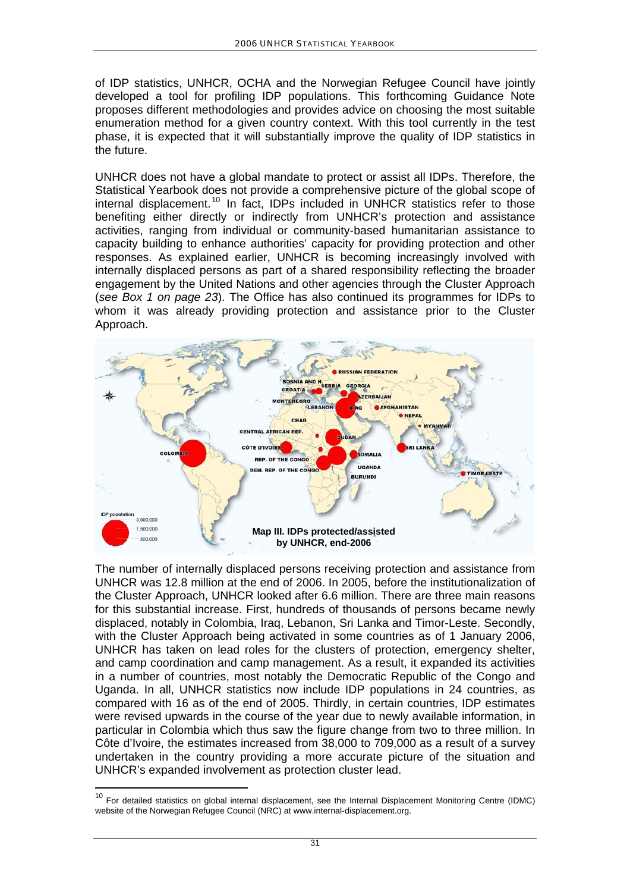of IDP statistics, UNHCR, OCHA and the Norwegian Refugee Council have jointly developed a tool for profiling IDP populations. This forthcoming Guidance Note proposes different methodologies and provides advice on choosing the most suitable enumeration method for a given country context. With this tool currently in the test phase, it is expected that it will substantially improve the quality of IDP statistics in the future.

UNHCR does not have a global mandate to protect or assist all IDPs. Therefore, the Statistical Yearbook does not provide a comprehensive picture of the global scope of internal displacement.<sup>[10](#page-8-0)</sup> In fact, IDPs included in UNHCR statistics refer to those benefiting either directly or indirectly from UNHCR's protection and assistance activities, ranging from individual or community-based humanitarian assistance to capacity building to enhance authorities' capacity for providing protection and other responses. As explained earlier, UNHCR is becoming increasingly involved with internally displaced persons as part of a shared responsibility reflecting the broader engagement by the United Nations and other agencies through the Cluster Approach (*see Box 1 on page 23*). The Office has also continued its programmes for IDPs to whom it was already providing protection and assistance prior to the Cluster Approach.



The number of internally displaced persons receiving protection and assistance from UNHCR was 12.8 million at the end of 2006. In 2005, before the institutionalization of the Cluster Approach, UNHCR looked after 6.6 million. There are three main reasons for this substantial increase. First, hundreds of thousands of persons became newly displaced, notably in Colombia, Iraq, Lebanon, Sri Lanka and Timor-Leste. Secondly, with the Cluster Approach being activated in some countries as of 1 January 2006, UNHCR has taken on lead roles for the clusters of protection, emergency shelter, and camp coordination and camp management. As a result, it expanded its activities in a number of countries, most notably the Democratic Republic of the Congo and Uganda. In all, UNHCR statistics now include IDP populations in 24 countries, as compared with 16 as of the end of 2005. Thirdly, in certain countries, IDP estimates were revised upwards in the course of the year due to newly available information, in particular in Colombia which thus saw the figure change from two to three million. In Côte d'Ivoire, the estimates increased from 38,000 to 709,000 as a result of a survey undertaken in the country providing a more accurate picture of the situation and UNHCR's expanded involvement as protection cluster lead.

<span id="page-8-0"></span><sup>&</sup>lt;sup>10</sup> For detailed statistics on global internal displacement, see the Internal Displacement Monitoring Centre (IDMC) website of the Norwegian Refugee Council (NRC) at www.internal-displacement.org.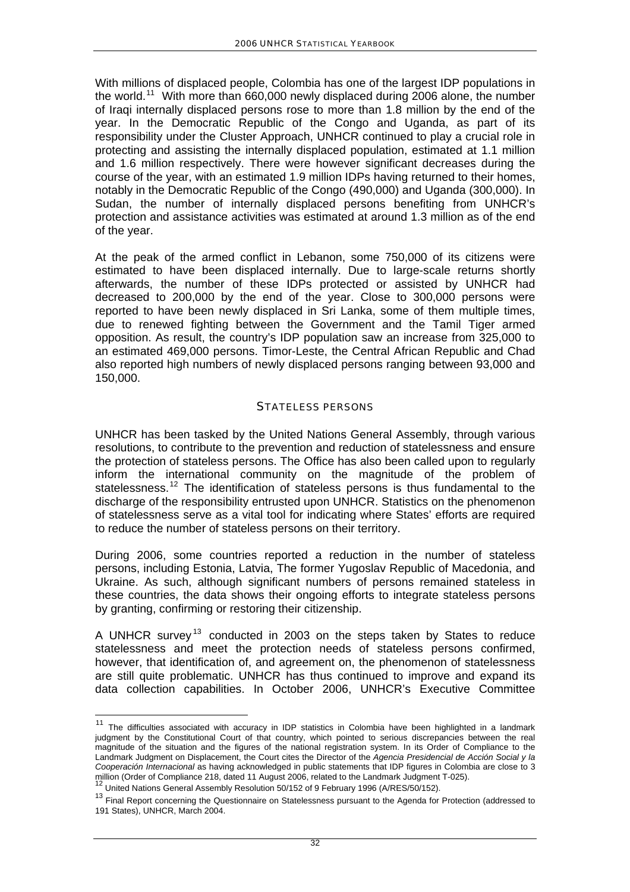With millions of displaced people, Colombia has one of the largest IDP populations in the world.<sup>[11](#page-9-0)</sup> With more than 660,000 newly displaced during 2006 alone, the number of Iraqi internally displaced persons rose to more than 1.8 million by the end of the year. In the Democratic Republic of the Congo and Uganda, as part of its responsibility under the Cluster Approach, UNHCR continued to play a crucial role in protecting and assisting the internally displaced population, estimated at 1.1 million and 1.6 million respectively. There were however significant decreases during the course of the year, with an estimated 1.9 million IDPs having returned to their homes, notably in the Democratic Republic of the Congo (490,000) and Uganda (300,000). In Sudan, the number of internally displaced persons benefiting from UNHCR's protection and assistance activities was estimated at around 1.3 million as of the end of the year.

At the peak of the armed conflict in Lebanon, some 750,000 of its citizens were estimated to have been displaced internally. Due to large-scale returns shortly afterwards, the number of these IDPs protected or assisted by UNHCR had decreased to 200,000 by the end of the year. Close to 300,000 persons were reported to have been newly displaced in Sri Lanka, some of them multiple times, due to renewed fighting between the Government and the Tamil Tiger armed opposition. As result, the country's IDP population saw an increase from 325,000 to an estimated 469,000 persons. Timor-Leste, the Central African Republic and Chad also reported high numbers of newly displaced persons ranging between 93,000 and 150,000.

### STATELESS PERSONS

UNHCR has been tasked by the United Nations General Assembly, through various resolutions, to contribute to the prevention and reduction of statelessness and ensure the protection of stateless persons. The Office has also been called upon to regularly inform the international community on the magnitude of the problem of statelessness.<sup>[12](#page-9-1)</sup> The identification of stateless persons is thus fundamental to the discharge of the responsibility entrusted upon UNHCR. Statistics on the phenomenon of statelessness serve as a vital tool for indicating where States' efforts are required to reduce the number of stateless persons on their territory.

During 2006, some countries reported a reduction in the number of stateless persons, including Estonia, Latvia, The former Yugoslav Republic of Macedonia, and Ukraine. As such, although significant numbers of persons remained stateless in these countries, the data shows their ongoing efforts to integrate stateless persons by granting, confirming or restoring their citizenship.

A UNHCR survey<sup>[13](#page-9-2)</sup> conducted in 2003 on the steps taken by States to reduce statelessness and meet the protection needs of stateless persons confirmed, however, that identification of, and agreement on, the phenomenon of statelessness are still quite problematic. UNHCR has thus continued to improve and expand its data collection capabilities. In October 2006, UNHCR's Executive Committee

<span id="page-9-0"></span> $11$  The difficulties associated with accuracy in IDP statistics in Colombia have been highlighted in a landmark judgment by the Constitutional Court of that country, which pointed to serious discrepancies between the real magnitude of the situation and the figures of the national registration system. In its Order of Compliance to the Landmark Judgment on Displacement, the Court cites the Director of the *Agencia Presidencial de Acción Social y la Cooperación Internacional* as having acknowledged in public statements that IDP figures in Colombia are close to 3

million (Order of Compliance 218, dated 11 August 2006, related to the Landmark Judgment T-025).<br><sup>12</sup> United Nations General Assembly Resolution 50/152 of 9 February 1996 (A/RES/50/152).

<span id="page-9-2"></span><span id="page-9-1"></span> $13$  Final Report concerning the Questionnaire on Statelessness pursuant to the Agenda for Protection (addressed to 191 States), UNHCR, March 2004.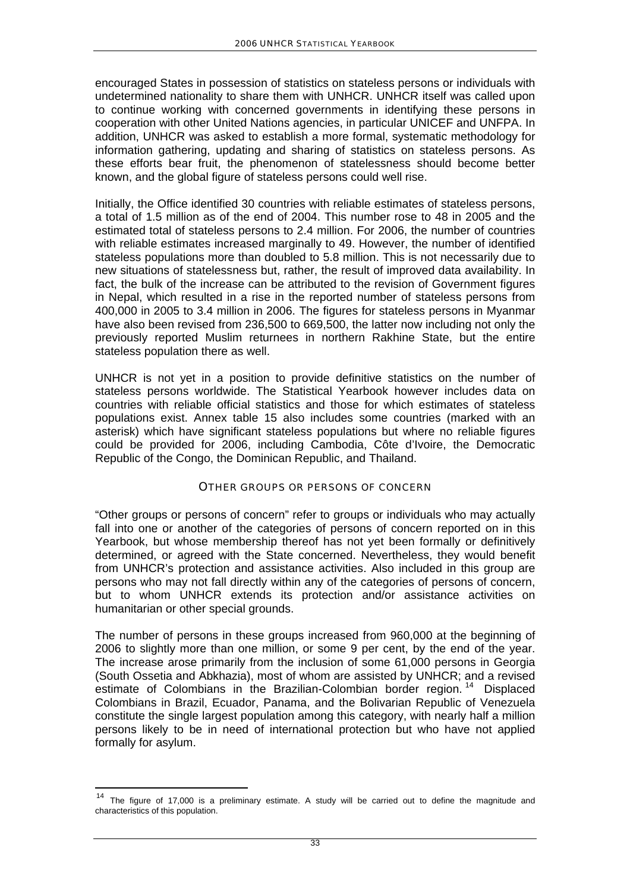encouraged States in possession of statistics on stateless persons or individuals with undetermined nationality to share them with UNHCR. UNHCR itself was called upon to continue working with concerned governments in identifying these persons in cooperation with other United Nations agencies, in particular UNICEF and UNFPA. In addition, UNHCR was asked to establish a more formal, systematic methodology for information gathering, updating and sharing of statistics on stateless persons. As these efforts bear fruit, the phenomenon of statelessness should become better known, and the global figure of stateless persons could well rise.

Initially, the Office identified 30 countries with reliable estimates of stateless persons, a total of 1.5 million as of the end of 2004. This number rose to 48 in 2005 and the estimated total of stateless persons to 2.4 million. For 2006, the number of countries with reliable estimates increased marginally to 49. However, the number of identified stateless populations more than doubled to 5.8 million. This is not necessarily due to new situations of statelessness but, rather, the result of improved data availability. In fact, the bulk of the increase can be attributed to the revision of Government figures in Nepal, which resulted in a rise in the reported number of stateless persons from 400,000 in 2005 to 3.4 million in 2006. The figures for stateless persons in Myanmar have also been revised from 236,500 to 669,500, the latter now including not only the previously reported Muslim returnees in northern Rakhine State, but the entire stateless population there as well.

UNHCR is not yet in a position to provide definitive statistics on the number of stateless persons worldwide. The Statistical Yearbook however includes data on countries with reliable official statistics and those for which estimates of stateless populations exist. Annex table 15 also includes some countries (marked with an asterisk) which have significant stateless populations but where no reliable figures could be provided for 2006, including Cambodia, Côte d'Ivoire, the Democratic Republic of the Congo, the Dominican Republic, and Thailand.

## OTHER GROUPS OR PERSONS OF CONCERN

"Other groups or persons of concern" refer to groups or individuals who may actually fall into one or another of the categories of persons of concern reported on in this Yearbook, but whose membership thereof has not yet been formally or definitively determined, or agreed with the State concerned. Nevertheless, they would benefit from UNHCR's protection and assistance activities. Also included in this group are persons who may not fall directly within any of the categories of persons of concern, but to whom UNHCR extends its protection and/or assistance activities on humanitarian or other special grounds.

The number of persons in these groups increased from 960,000 at the beginning of 2006 to slightly more than one million, or some 9 per cent, by the end of the year. The increase arose primarily from the inclusion of some 61,000 persons in Georgia (South Ossetia and Abkhazia), most of whom are assisted by UNHCR; and a revised estimate of Colombians in the Brazilian-Colombian border region.<sup>[14](#page-10-0)</sup> Displaced Colombians in Brazil, Ecuador, Panama, and the Bolivarian Republic of Venezuela constitute the single largest population among this category, with nearly half a million persons likely to be in need of international protection but who have not applied formally for asylum.

<span id="page-10-0"></span><sup>&</sup>lt;sup>14</sup> The figure of 17,000 is a preliminary estimate. A study will be carried out to define the magnitude and characteristics of this population.